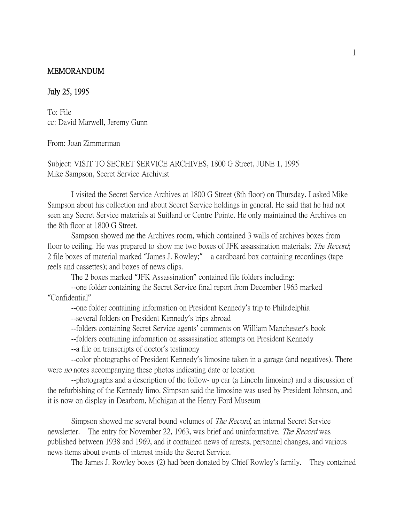## MEMORANDUM

## July 25, 1995

To: File cc: David Marwell, Jeremy Gunn

From: Joan Zimmerman

Subject: VISIT TO SECRET SERVICE ARCHIVES, 1800 G Street, JUNE 1, 1995 Mike Sampson, Secret Service Archivist

I visited the Secret Service Archives at 1800 G Street (8th floor) on Thursday. I asked Mike Sampson about his collection and about Secret Service holdings in general. He said that he had not seen any Secret Service materials at Suitland or Centre Pointe. He only maintained the Archives on the 8th floor at 1800 G Street.

Sampson showed me the Archives room, which contained 3 walls of archives boxes from floor to ceiling. He was prepared to show me two boxes of JFK assassination materials; *The Record*; 2 file boxes of material marked "James J. Rowley;" a cardboard box containing recordings (tape reels and cassettes); and boxes of news clips.

The 2 boxes marked "JFK Assassination" contained file folders including:

--one folder containing the Secret Service final report from December 1963 marked "Confidential"

--one folder containing information on President Kennedy's trip to Philadelphia

--several folders on President Kennedy's trips abroad

--folders containing Secret Service agents' comments on William Manchester's book

- --folders containing information on assassination attempts on President Kennedy
- --a file on transcripts of doctor's testimony

--color photographs of President Kennedy's limosine taken in a garage (and negatives). There were *no* notes accompanying these photos indicating date or location

--photographs and a description of the follow- up car (a Lincoln limosine) and a discussion of the refurbishing of the Kennedy limo. Simpson said the limosine was used by President Johnson, and it is now on display in Dearborn, Michigan at the Henry Ford Museum

Simpson showed me several bound volumes of The Record, an internal Secret Service newsletter. The entry for November 22, 1963, was brief and uninformative. The Record was published between 1938 and 1969, and it contained news of arrests, personnel changes, and various news items about events of interest inside the Secret Service.

The James J. Rowley boxes (2) had been donated by Chief Rowley's family. They contained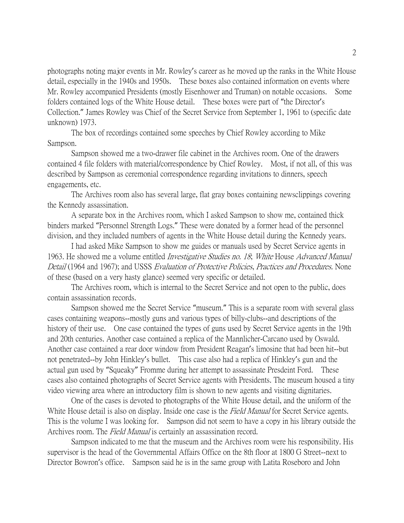photographs noting major events in Mr. Rowley's career as he moved up the ranks in the White House detail, especially in the 1940s and 1950s. These boxes also contained information on events where Mr. Rowley accompanied Presidents (mostly Eisenhower and Truman) on notable occasions. Some folders contained logs of the White House detail. These boxes were part of "the Director's Collection." James Rowley was Chief of the Secret Service from September 1, 1961 to (specific date unknown) 1973.

The box of recordings contained some speeches by Chief Rowley according to Mike Sampson.

Sampson showed me a two-drawer file cabinet in the Archives room. One of the drawers contained 4 file folders with material/correspondence by Chief Rowley. Most, if not all, of this was described by Sampson as ceremonial correspondence regarding invitations to dinners, speech engagements, etc.

The Archives room also has several large, flat gray boxes containing newsclippings covering the Kennedy assassination.

A separate box in the Archives room, which I asked Sampson to show me, contained thick binders marked "Personnel Strength Logs." These were donated by a former head of the personnel division, and they included numbers of agents in the White House detail during the Kennedy years.

I had asked Mike Sampson to show me guides or manuals used by Secret Service agents in 1963. He showed me a volume entitled *Investigative Studies no. 18*; White House Advanced Manual Detail (1964 and 1967); and USSS Evaluation of Protective Policies, Practices and Procedures. None of these (based on a very hasty glance) seemed very specific or detailed.

The Archives room, which is internal to the Secret Service and not open to the public, does contain assassination records.

Sampson showed me the Secret Service "museum." This is a separate room with several glass cases containing weapons--mostly guns and various types of billy-clubs--and descriptions of the history of their use. One case contained the types of guns used by Secret Service agents in the 19th and 20th centuries. Another case contained a replica of the Mannlicher-Carcano used by Oswald. Another case contained a rear door window from President Reagan's limosine that had been hit--but not penetrated--by John Hinkley's bullet. This case also had a replica of Hinkley's gun and the actual gun used by "Squeaky" Fromme during her attempt to assassinate Presdeint Ford. These cases also contained photographs of Secret Service agents with Presidents. The museum housed a tiny video viewing area where an introductory film is shown to new agents and visiting dignitaries.

One of the cases is devoted to photographs of the White House detail, and the uniform of the White House detail is also on display. Inside one case is the *Field Manual* for Secret Service agents. This is the volume I was looking for. Sampson did not seem to have a copy in his library outside the Archives room. The *Field Manual* is certainly an assassination record.

Sampson indicated to me that the museum and the Archives room were his responsibility. His supervisor is the head of the Governmental Affairs Office on the 8th floor at 1800 G Street--next to Director Bowron's office. Sampson said he is in the same group with Latita Roseboro and John